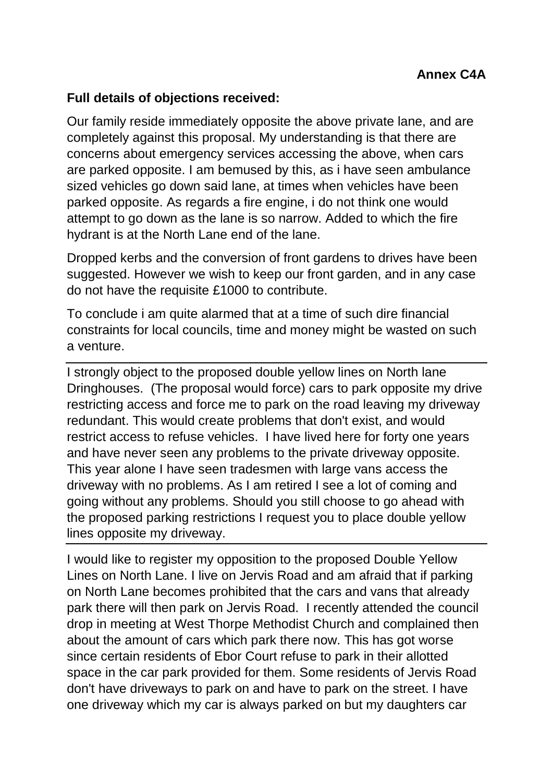## **Full details of objections received:**

Our family reside immediately opposite the above private lane, and are completely against this proposal. My understanding is that there are concerns about emergency services accessing the above, when cars are parked opposite. I am bemused by this, as i have seen ambulance sized vehicles go down said lane, at times when vehicles have been parked opposite. As regards a fire engine, i do not think one would attempt to go down as the lane is so narrow. Added to which the fire hydrant is at the North Lane end of the lane.

Dropped kerbs and the conversion of front gardens to drives have been suggested. However we wish to keep our front garden, and in any case do not have the requisite £1000 to contribute.

To conclude i am quite alarmed that at a time of such dire financial constraints for local councils, time and money might be wasted on such a venture.

I strongly object to the proposed double yellow lines on North lane Dringhouses. (The proposal would force) cars to park opposite my drive restricting access and force me to park on the road leaving my driveway redundant. This would create problems that don't exist, and would restrict access to refuse vehicles. I have lived here for forty one years and have never seen any problems to the private driveway opposite. This year alone I have seen tradesmen with large vans access the driveway with no problems. As I am retired I see a lot of coming and going without any problems. Should you still choose to go ahead with the proposed parking restrictions I request you to place double yellow lines opposite my driveway.

I would like to register my opposition to the proposed Double Yellow Lines on North Lane. I live on Jervis Road and am afraid that if parking on North Lane becomes prohibited that the cars and vans that already park there will then park on Jervis Road. I recently attended the council drop in meeting at West Thorpe Methodist Church and complained then about the amount of cars which park there now. This has got worse since certain residents of Ebor Court refuse to park in their allotted space in the car park provided for them. Some residents of Jervis Road don't have driveways to park on and have to park on the street. I have one driveway which my car is always parked on but my daughters car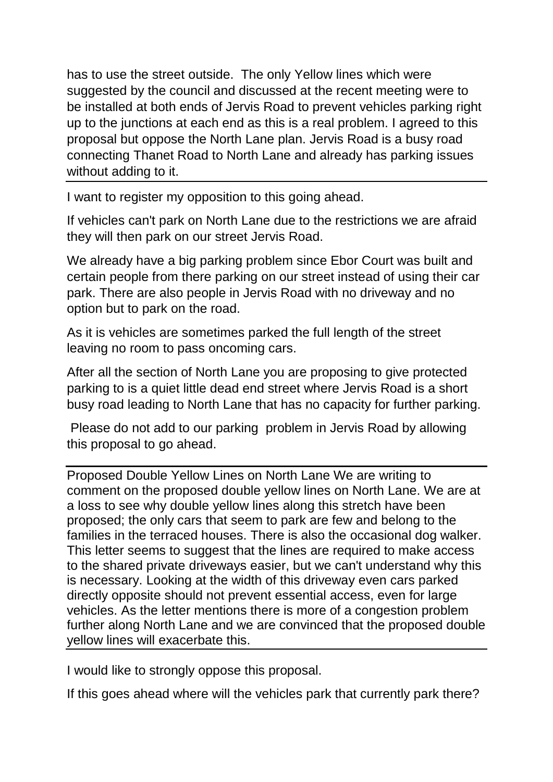has to use the street outside. The only Yellow lines which were suggested by the council and discussed at the recent meeting were to be installed at both ends of Jervis Road to prevent vehicles parking right up to the junctions at each end as this is a real problem. I agreed to this proposal but oppose the North Lane plan. Jervis Road is a busy road connecting Thanet Road to North Lane and already has parking issues without adding to it.

I want to register my opposition to this going ahead.

If vehicles can't park on North Lane due to the restrictions we are afraid they will then park on our street Jervis Road.

We already have a big parking problem since Ebor Court was built and certain people from there parking on our street instead of using their car park. There are also people in Jervis Road with no driveway and no option but to park on the road.

As it is vehicles are sometimes parked the full length of the street leaving no room to pass oncoming cars.

After all the section of North Lane you are proposing to give protected parking to is a quiet little dead end street where Jervis Road is a short busy road leading to North Lane that has no capacity for further parking.

Please do not add to our parking problem in Jervis Road by allowing this proposal to go ahead.

Proposed Double Yellow Lines on North Lane We are writing to comment on the proposed double yellow lines on North Lane. We are at a loss to see why double yellow lines along this stretch have been proposed; the only cars that seem to park are few and belong to the families in the terraced houses. There is also the occasional dog walker. This letter seems to suggest that the lines are required to make access to the shared private driveways easier, but we can't understand why this is necessary. Looking at the width of this driveway even cars parked directly opposite should not prevent essential access, even for large vehicles. As the letter mentions there is more of a congestion problem further along North Lane and we are convinced that the proposed double yellow lines will exacerbate this.

I would like to strongly oppose this proposal.

If this goes ahead where will the vehicles park that currently park there?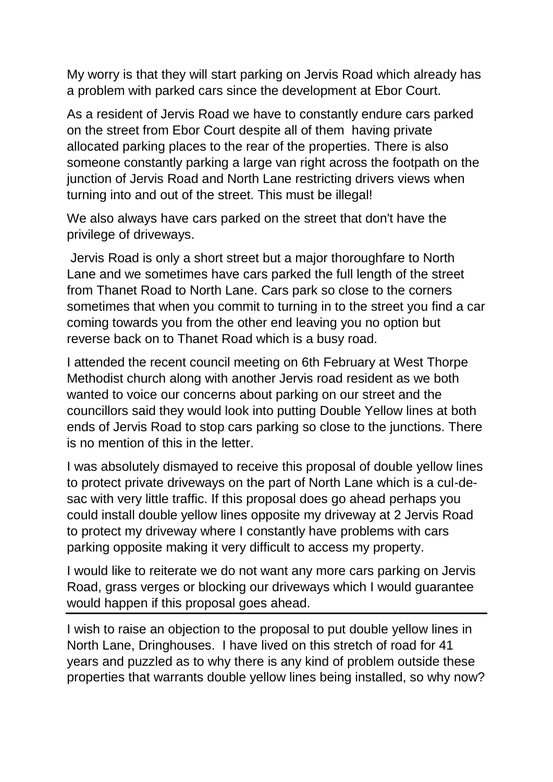My worry is that they will start parking on Jervis Road which already has a problem with parked cars since the development at Ebor Court.

As a resident of Jervis Road we have to constantly endure cars parked on the street from Ebor Court despite all of them having private allocated parking places to the rear of the properties. There is also someone constantly parking a large van right across the footpath on the junction of Jervis Road and North Lane restricting drivers views when turning into and out of the street. This must be illegal!

We also always have cars parked on the street that don't have the privilege of driveways.

Jervis Road is only a short street but a major thoroughfare to North Lane and we sometimes have cars parked the full length of the street from Thanet Road to North Lane. Cars park so close to the corners sometimes that when you commit to turning in to the street you find a car coming towards you from the other end leaving you no option but reverse back on to Thanet Road which is a busy road.

I attended the recent council meeting on 6th February at West Thorpe Methodist church along with another Jervis road resident as we both wanted to voice our concerns about parking on our street and the councillors said they would look into putting Double Yellow lines at both ends of Jervis Road to stop cars parking so close to the junctions. There is no mention of this in the letter.

I was absolutely dismayed to receive this proposal of double yellow lines to protect private driveways on the part of North Lane which is a cul-desac with very little traffic. If this proposal does go ahead perhaps you could install double yellow lines opposite my driveway at 2 Jervis Road to protect my driveway where I constantly have problems with cars parking opposite making it very difficult to access my property.

I would like to reiterate we do not want any more cars parking on Jervis Road, grass verges or blocking our driveways which I would guarantee would happen if this proposal goes ahead.

I wish to raise an objection to the proposal to put double yellow lines in North Lane, Dringhouses. I have lived on this stretch of road for 41 years and puzzled as to why there is any kind of problem outside these properties that warrants double yellow lines being installed, so why now?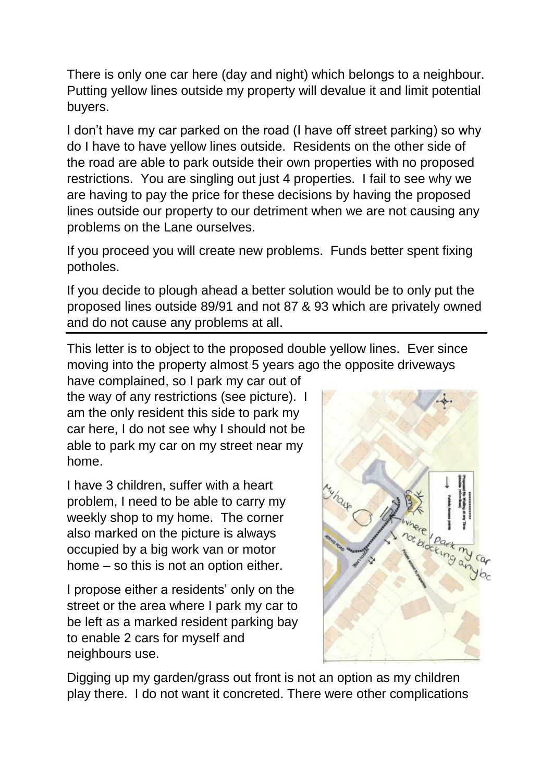There is only one car here (day and night) which belongs to a neighbour. Putting yellow lines outside my property will devalue it and limit potential buyers.

I don't have my car parked on the road (I have off street parking) so why do I have to have yellow lines outside. Residents on the other side of the road are able to park outside their own properties with no proposed restrictions. You are singling out just 4 properties. I fail to see why we are having to pay the price for these decisions by having the proposed lines outside our property to our detriment when we are not causing any problems on the Lane ourselves.

If you proceed you will create new problems. Funds better spent fixing potholes.

If you decide to plough ahead a better solution would be to only put the proposed lines outside 89/91 and not 87 & 93 which are privately owned and do not cause any problems at all.

This letter is to object to the proposed double yellow lines. Ever since moving into the property almost 5 years ago the opposite driveways

have complained, so I park my car out of the way of any restrictions (see picture). I am the only resident this side to park my car here, I do not see why I should not be able to park my car on my street near my home.

I have 3 children, suffer with a heart problem, I need to be able to carry my weekly shop to my home. The corner also marked on the picture is always occupied by a big work van or motor home – so this is not an option either.

I propose either a residents' only on the street or the area where I park my car to be left as a marked resident parking bay to enable 2 cars for myself and neighbours use.



Digging up my garden/grass out front is not an option as my children play there. I do not want it concreted. There were other complications